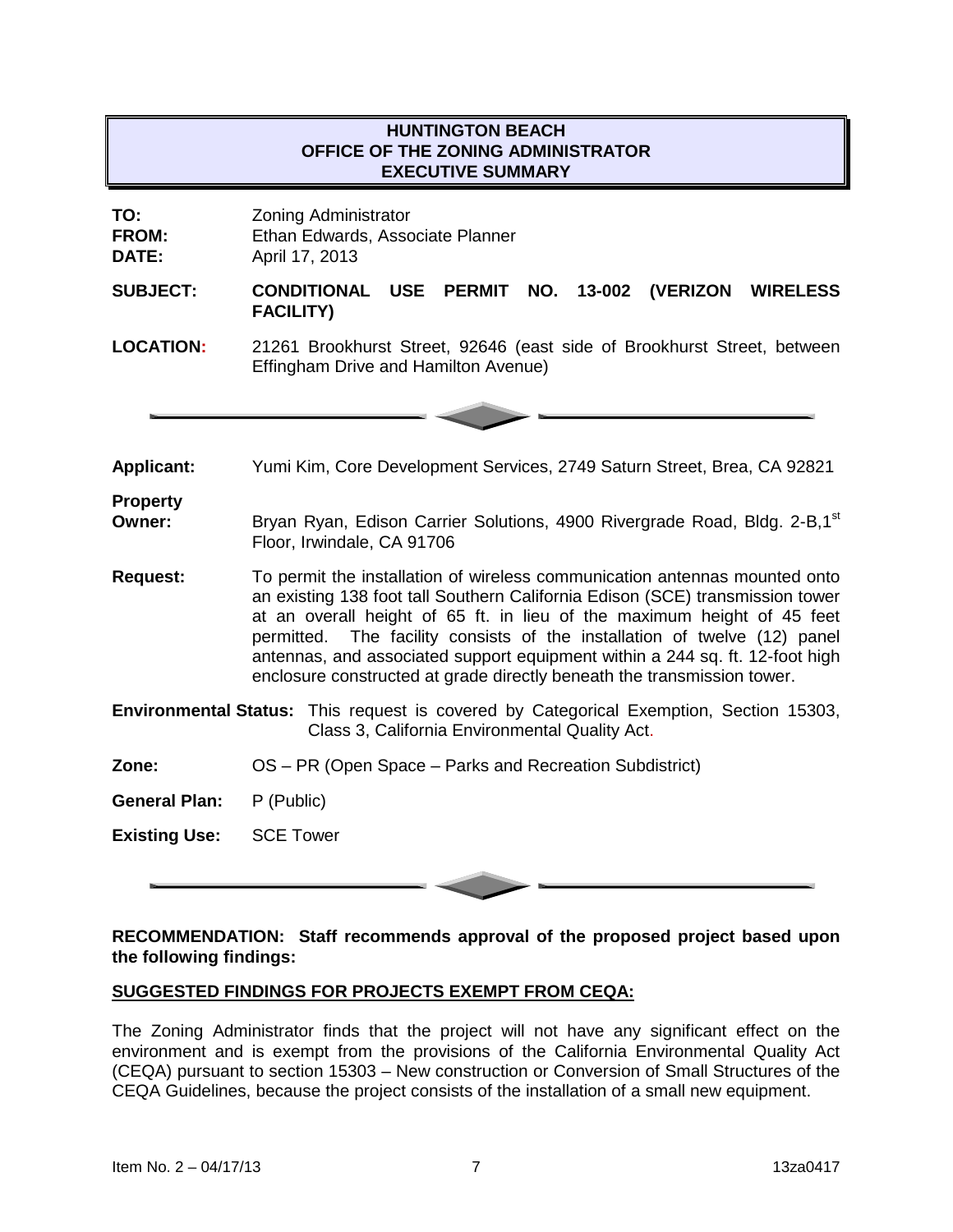## **HUNTINGTON BEACH OFFICE OF THE ZONING ADMINISTRATOR EXECUTIVE SUMMARY**

**TO:** Zoning Administrator

**FROM:** Ethan Edwards, Associate Planner<br> **DATE:** April 17, 2013

**DATE:** April 17, 2013

**SUBJECT: CONDITIONAL USE PERMIT NO. 13-002 (VERIZON WIRELESS FACILITY)**

**LOCATION:** 21261 Brookhurst Street, 92646 (east side of Brookhurst Street, between Effingham Drive and Hamilton Avenue)



**Applicant:** Yumi Kim, Core Development Services, 2749 Saturn Street, Brea, CA 92821

# **Property**

**Owner:** Bryan Ryan, Edison Carrier Solutions, 4900 Rivergrade Road, Bldg. 2-B,1<sup>st</sup> Floor, Irwindale, CA 91706

- **Request:** To permit the installation of wireless communication antennas mounted onto an existing 138 foot tall Southern California Edison (SCE) transmission tower at an overall height of 65 ft. in lieu of the maximum height of 45 feet permitted. The facility consists of the installation of twelve (12) panel antennas, and associated support equipment within a 244 sq. ft. 12-foot high enclosure constructed at grade directly beneath the transmission tower.
- **Environmental Status:** This request is covered by Categorical Exemption, Section 15303, Class 3, California Environmental Quality Act.
- **Zone:** OS PR (Open Space Parks and Recreation Subdistrict)
- **General Plan:** P (Public)

**Existing Use:** SCE Tower

## **RECOMMENDATION: Staff recommends approval of the proposed project based upon the following findings:**

## **SUGGESTED FINDINGS FOR PROJECTS EXEMPT FROM CEQA:**

The Zoning Administrator finds that the project will not have any significant effect on the environment and is exempt from the provisions of the California Environmental Quality Act (CEQA) pursuant to section 15303 – New construction or Conversion of Small Structures of the CEQA Guidelines, because the project consists of the installation of a small new equipment.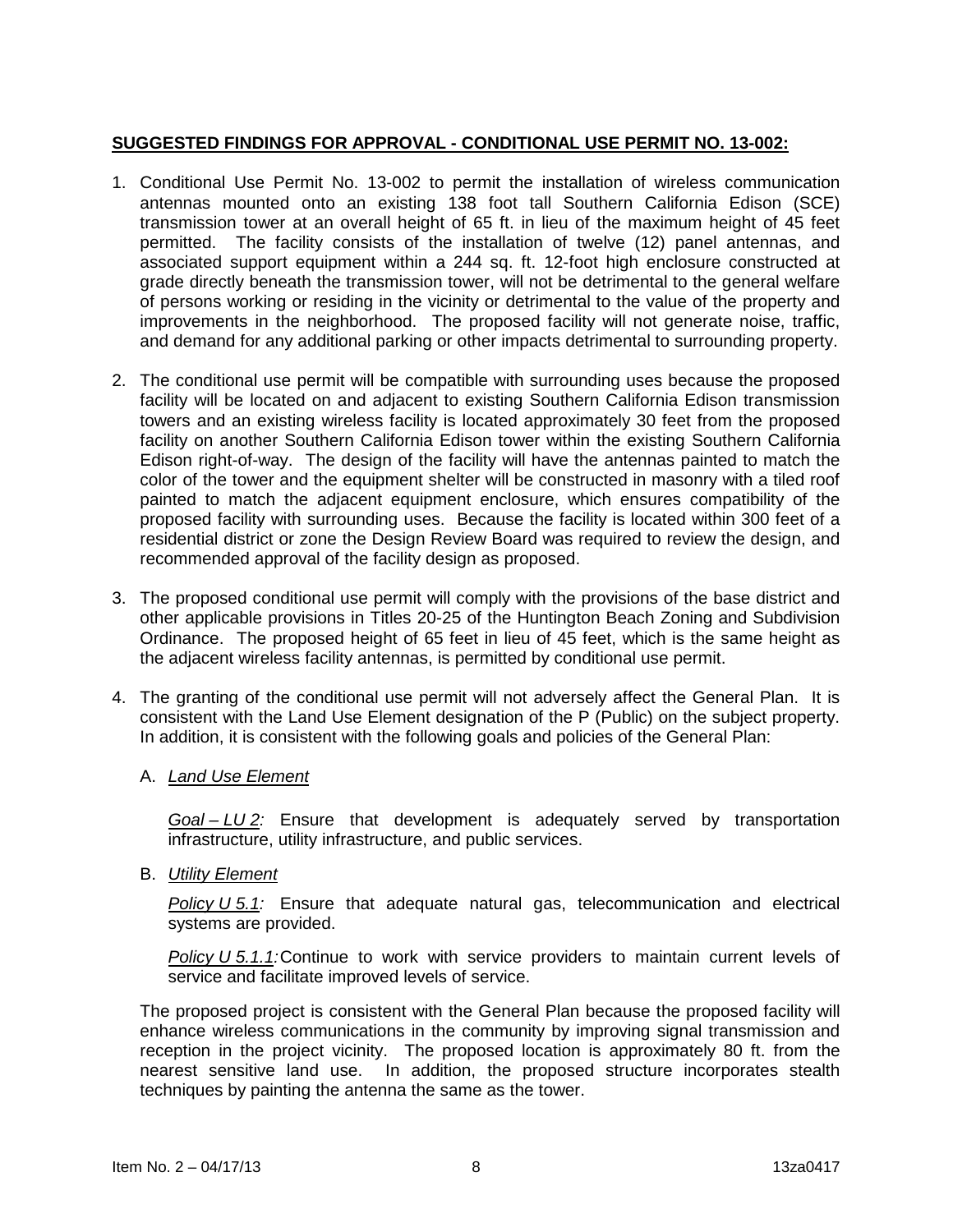## **SUGGESTED FINDINGS FOR APPROVAL - CONDITIONAL USE PERMIT NO. 13-002:**

- 1. Conditional Use Permit No. 13-002 to permit the installation of wireless communication antennas mounted onto an existing 138 foot tall Southern California Edison (SCE) transmission tower at an overall height of 65 ft. in lieu of the maximum height of 45 feet permitted. The facility consists of the installation of twelve (12) panel antennas, and associated support equipment within a 244 sq. ft. 12-foot high enclosure constructed at grade directly beneath the transmission tower, will not be detrimental to the general welfare of persons working or residing in the vicinity or detrimental to the value of the property and improvements in the neighborhood. The proposed facility will not generate noise, traffic, and demand for any additional parking or other impacts detrimental to surrounding property.
- 2. The conditional use permit will be compatible with surrounding uses because the proposed facility will be located on and adjacent to existing Southern California Edison transmission towers and an existing wireless facility is located approximately 30 feet from the proposed facility on another Southern California Edison tower within the existing Southern California Edison right-of-way. The design of the facility will have the antennas painted to match the color of the tower and the equipment shelter will be constructed in masonry with a tiled roof painted to match the adjacent equipment enclosure, which ensures compatibility of the proposed facility with surrounding uses. Because the facility is located within 300 feet of a residential district or zone the Design Review Board was required to review the design, and recommended approval of the facility design as proposed.
- 3. The proposed conditional use permit will comply with the provisions of the base district and other applicable provisions in Titles 20-25 of the Huntington Beach Zoning and Subdivision Ordinance. The proposed height of 65 feet in lieu of 45 feet, which is the same height as the adjacent wireless facility antennas, is permitted by conditional use permit.
- 4. The granting of the conditional use permit will not adversely affect the General Plan. It is consistent with the Land Use Element designation of the P (Public) on the subject property. In addition, it is consistent with the following goals and policies of the General Plan:

## A. *Land Use Element*

*Goal – LU 2:* Ensure that development is adequately served by transportation infrastructure, utility infrastructure, and public services.

B. *Utility Element*

*Policy U 5.1:* Ensure that adequate natural gas, telecommunication and electrical systems are provided.

*Policy U 5.1.1:*Continue to work with service providers to maintain current levels of service and facilitate improved levels of service.

The proposed project is consistent with the General Plan because the proposed facility will enhance wireless communications in the community by improving signal transmission and reception in the project vicinity. The proposed location is approximately 80 ft. from the nearest sensitive land use. In addition, the proposed structure incorporates stealth techniques by painting the antenna the same as the tower.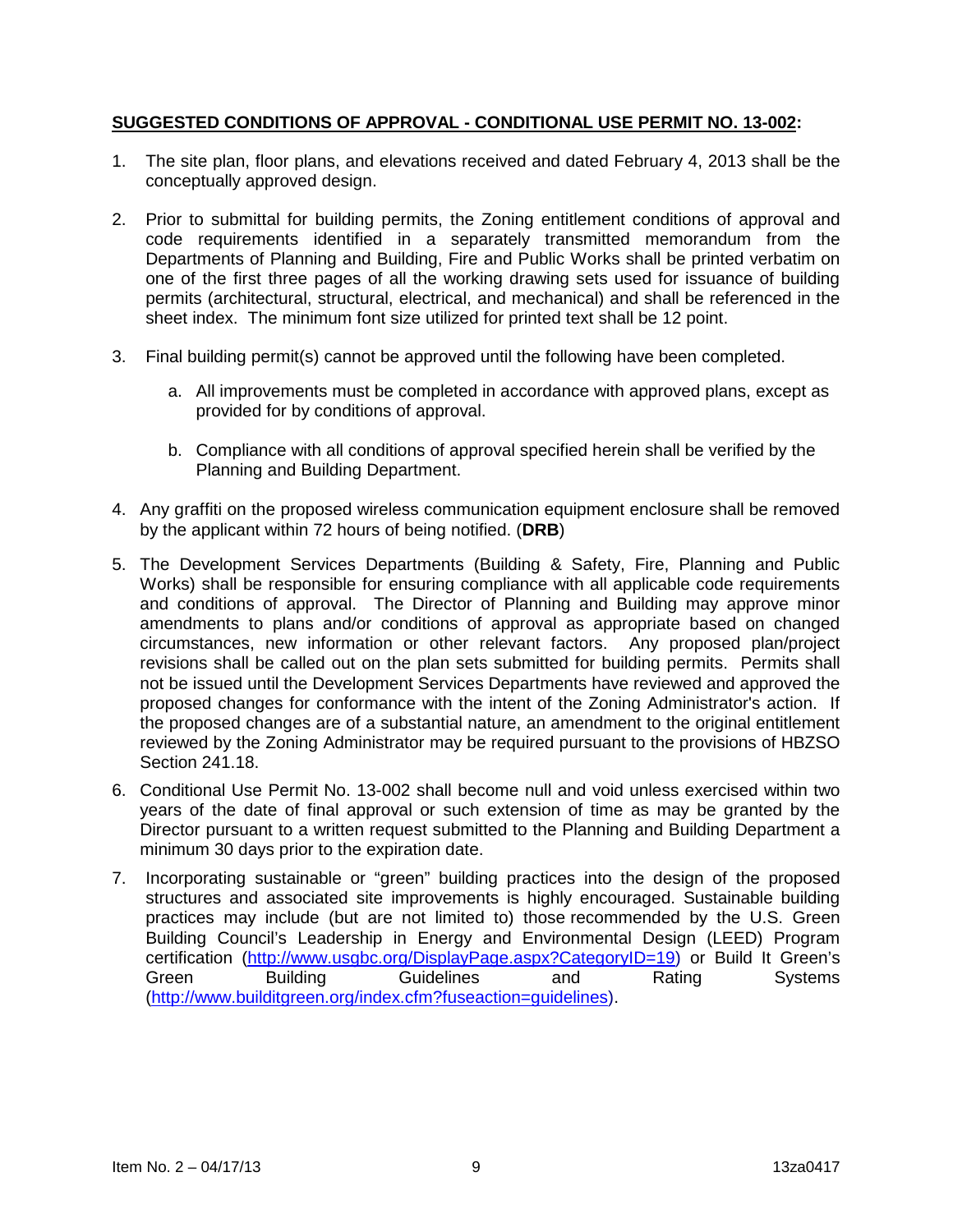## **SUGGESTED CONDITIONS OF APPROVAL - CONDITIONAL USE PERMIT NO. 13-002:**

- 1. The site plan, floor plans, and elevations received and dated February 4, 2013 shall be the conceptually approved design.
- 2. Prior to submittal for building permits, the Zoning entitlement conditions of approval and code requirements identified in a separately transmitted memorandum from the Departments of Planning and Building, Fire and Public Works shall be printed verbatim on one of the first three pages of all the working drawing sets used for issuance of building permits (architectural, structural, electrical, and mechanical) and shall be referenced in the sheet index. The minimum font size utilized for printed text shall be 12 point.
- 3. Final building permit(s) cannot be approved until the following have been completed.
	- a. All improvements must be completed in accordance with approved plans, except as provided for by conditions of approval.
	- b. Compliance with all conditions of approval specified herein shall be verified by the Planning and Building Department.
- 4. Any graffiti on the proposed wireless communication equipment enclosure shall be removed by the applicant within 72 hours of being notified. (**DRB**)
- 5. The Development Services Departments (Building & Safety, Fire, Planning and Public Works) shall be responsible for ensuring compliance with all applicable code requirements and conditions of approval. The Director of Planning and Building may approve minor amendments to plans and/or conditions of approval as appropriate based on changed circumstances, new information or other relevant factors. Any proposed plan/project revisions shall be called out on the plan sets submitted for building permits. Permits shall not be issued until the Development Services Departments have reviewed and approved the proposed changes for conformance with the intent of the Zoning Administrator's action. If the proposed changes are of a substantial nature, an amendment to the original entitlement reviewed by the Zoning Administrator may be required pursuant to the provisions of HBZSO Section 241.18.
- 6. Conditional Use Permit No. 13-002 shall become null and void unless exercised within two years of the date of final approval or such extension of time as may be granted by the Director pursuant to a written request submitted to the Planning and Building Department a minimum 30 days prior to the expiration date.
- 7. Incorporating sustainable or "green" building practices into the design of the proposed structures and associated site improvements is highly encouraged. Sustainable building practices may include (but are not limited to) those recommended by the U.S. Green Building Council's Leadership in Energy and Environmental Design (LEED) Program certification [\(http://www.usgbc.org/DisplayPage.aspx?CategoryID=19\)](http://www.usgbc.org/DisplayPage.aspx?CategoryID=19) or Build It Green's<br>Guidelines and Rating Systems Green Building Guidelines and Rating Systems [\(http://www.builditgreen.org/index.cfm?fuseaction=guidelines\)](http://www.builditgreen.org/index.cfm?fuseaction=guidelines).